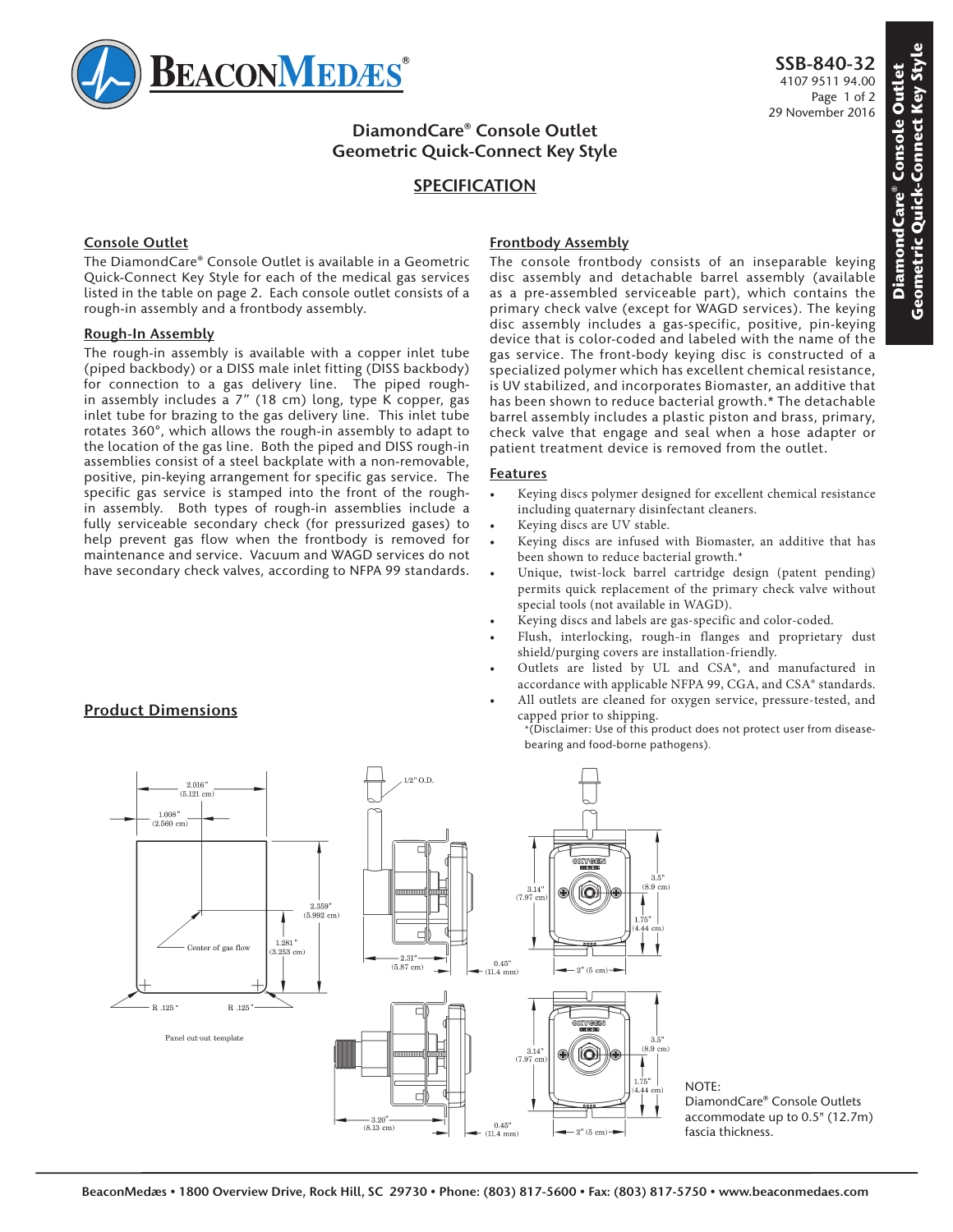

# **DiamondCare® Console Outlet Geometric Quick-Connect Key Style**

## **SPECIFICATION**

### **Console Outlet**

The DiamondCare® Console Outlet is available in a Geometric Quick-Connect Key Style for each of the medical gas services listed in the table on page 2. Each console outlet consists of a rough-in assembly and a frontbody assembly.

#### **Rough-In Assembly**

The rough-in assembly is available with a copper inlet tube (piped backbody) or a DISS male inlet fitting (DISS backbody) for connection to a gas delivery line. The piped roughin assembly includes a 7" (18 cm) long, type K copper, gas inlet tube for brazing to the gas delivery line. This inlet tube rotates 360°, which allows the rough-in assembly to adapt to the location of the gas line. Both the piped and DISS rough-in assemblies consist of a steel backplate with a non-removable, positive, pin-keying arrangement for specific gas service. The specific gas service is stamped into the front of the roughin assembly. Both types of rough-in assemblies include a fully serviceable secondary check (for pressurized gases) to help prevent gas flow when the frontbody is removed for maintenance and service. Vacuum and WAGD services do not have secondary check valves, according to NFPA 99 standards.

### **Frontbody Assembly**

The console frontbody consists of an inseparable keying disc assembly and detachable barrel assembly (available as a pre-assembled serviceable part), which contains the primary check valve (except for WAGD services). The keying disc assembly includes a gas-specific, positive, pin-keying device that is color-coded and labeled with the name of the gas service. The front-body keying disc is constructed of a specialized polymer which has excellent chemical resistance, is UV stabilized, and incorporates Biomaster, an additive that has been shown to reduce bacterial growth.\* The detachable barrel assembly includes a plastic piston and brass, primary, check valve that engage and seal when a hose adapter or patient treatment device is removed from the outlet.

#### **Features**

- Keying discs polymer designed for excellent chemical resistance including quaternary disinfectant cleaners.
- Keying discs are UV stable.
- Keying discs are infused with Biomaster, an additive that has been shown to reduce bacterial growth.\*
- Unique, twist-lock barrel cartridge design (patent pending) permits quick replacement of the primary check valve without special tools (not available in WAGD).
- Keying discs and labels are gas-specific and color-coded.
- Flush, interlocking, rough-in flanges and proprietary dust shield/purging covers are installation-friendly.
- Outlets are listed by UL and CSA®, and manufactured in accordance with applicable NFPA 99, CGA, and CSA® standards.
- All outlets are cleaned for oxygen service, pressure-tested, and capped prior to shipping.





NOTE: DiamondCare® Console Outlets accommodate up to 0.5" (12.7m) fascia thickness.

# **Product Dimensions**